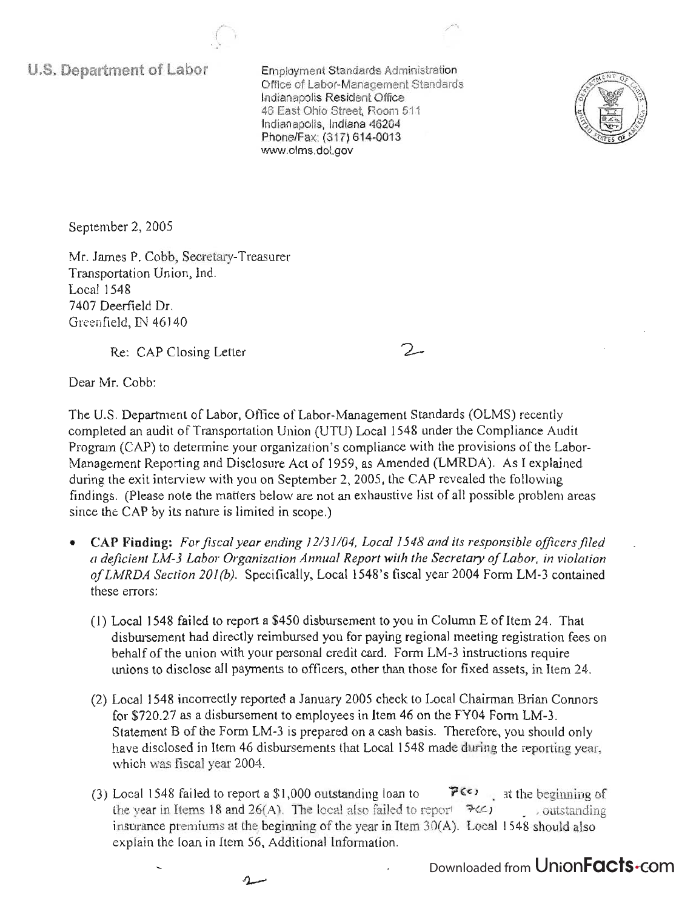**U.S. Department of Labor** 

 $E = \frac{1}{2}$ Office of Labor-Management Standards Office of Labor-Management Standards Indianapolis Resident Office 46 East Ohio Street, Room 511 Indianapolis, Indiana 46204 Phone/Fax: (317) 614-0013<br>www.olms.dol.gov



September 2, 2005

Mr. James P. Cobb, Secretary-Treasurer Transportation Union, Ind. Local 1548 7407 Deerfield Dr. Greenfield, IN 46140

(  $\sim$ 

Re: CAP Closing Letter

 $\mathcal{L}$ 

Dear Mr. Cobb:

The U.S. Department of Labor, Office of Labor-Management Standards (OLMS) recently completed an audit of Transportation Union (UTU) Local 1548 under the Compliance Audit Program (CAP) to determine your organization's compliance with the provisions of the Labor-Management Reporting and Disclosure Act of 1959, as Amended (LMRDA). As I explained during the exit interview with you on September 2, 2005, the CAP revealed the following findings. (Please note the matters below are not an exhaustive list of all possible problem areas since the CAP by its nature is limited in scope.)

- CAP **Finding:** *For fiscal year ending 12131104, Local* 1548 *and its responsible officers filed a deficient LM-3 Labor Organization Annual Report with the Secretary of Labor, in violation ofLMRDA Section 201 (b).* Specifically, Local 1548's fiscal year 2004 Form LM-3 contained these errors:
	- (1) Local 1548 failed to report a \$450 disbursement to you in Column E ofltem 24. That disbursement had directly reimbursed you for paying regional meeting registration fees on behalf of the union with your personal credit card. Form LM-3 instructions require unions to disclose all payments to officers, other than those for fixed assets, in Item 24.
	- (2) Local 1548 incorrectly reported a January 2005 check to Local Chairman Brian Connors for \$720.27 as a disbursement to employees in Item 46 on the FY04 Form LM-3. Statement B of the Form LM-3 is prepared on a cash basis. Therefore, you should only have disclosed in Item 46 disbursements that Local 1548 made during the reporting year, which was fiscal year 2004.
	- (3) Local 1548 failed to report a \$1,000 outstanding loan to  $\mathcal{P}^{(\mathcal{C})}$  at the beginning of the year in Items 18 and 26(A). The local also failed to report  $\mathcal{F}(\mathcal{L})$  outstanding insurance premiums at the beginning of the year in Item  $30(A)$ . Local 1548 should also explain the loan in Item 56, Additional Information.

 $\Lambda$ 

Downloaded from UnionFacts.com